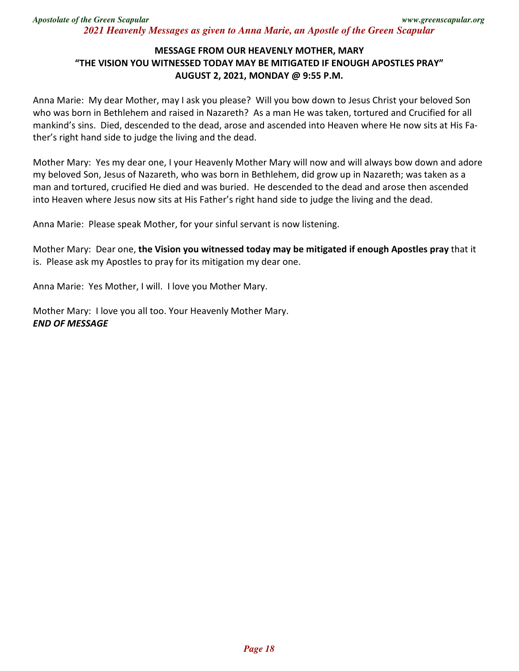## **MESSAGE FROM OUR HEAVENLY MOTHER, MARY "THE VISION YOU WITNESSED TODAY MAY BE MITIGATED IF ENOUGH APOSTLES PRAY" AUGUST 2, 2021, MONDAY @ 9:55 P.M.**

Anna Marie: My dear Mother, may I ask you please? Will you bow down to Jesus Christ your beloved Son who was born in Bethlehem and raised in Nazareth? As a man He was taken, tortured and Crucified for all mankind's sins. Died, descended to the dead, arose and ascended into Heaven where He now sits at His Father's right hand side to judge the living and the dead.

Mother Mary: Yes my dear one, I your Heavenly Mother Mary will now and will always bow down and adore my beloved Son, Jesus of Nazareth, who was born in Bethlehem, did grow up in Nazareth; was taken as a man and tortured, crucified He died and was buried. He descended to the dead and arose then ascended into Heaven where Jesus now sits at His Father's right hand side to judge the living and the dead.

Anna Marie: Please speak Mother, for your sinful servant is now listening.

Mother Mary: Dear one, **the Vision you witnessed today may be mitigated if enough Apostles pray** that it is. Please ask my Apostles to pray for its mitigation my dear one.

Anna Marie: Yes Mother, I will. I love you Mother Mary.

Mother Mary: I love you all too. Your Heavenly Mother Mary. *END OF MESSAGE*